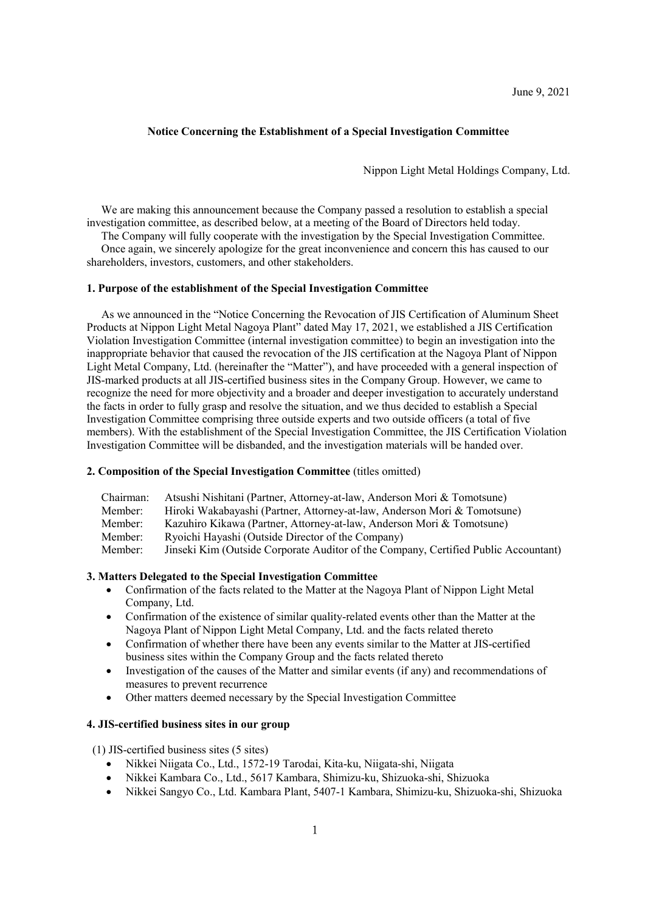June 9, 2021

### **Notice Concerning the Establishment of a Special Investigation Committee**

Nippon Light Metal Holdings Company, Ltd.

We are making this announcement because the Company passed a resolution to establish a special investigation committee, as described below, at a meeting of the Board of Directors held today.

The Company will fully cooperate with the investigation by the Special Investigation Committee. Once again, we sincerely apologize for the great inconvenience and concern this has caused to our shareholders, investors, customers, and other stakeholders.

#### **1. Purpose of the establishment of the Special Investigation Committee**

As we announced in the "Notice Concerning the Revocation of JIS Certification of Aluminum Sheet Products at Nippon Light Metal Nagoya Plant" dated May 17, 2021, we established a JIS Certification Violation Investigation Committee (internal investigation committee) to begin an investigation into the inappropriate behavior that caused the revocation of the JIS certification at the Nagoya Plant of Nippon Light Metal Company, Ltd. (hereinafter the "Matter"), and have proceeded with a general inspection of JIS-marked products at all JIS-certified business sites in the Company Group. However, we came to recognize the need for more objectivity and a broader and deeper investigation to accurately understand the facts in order to fully grasp and resolve the situation, and we thus decided to establish a Special Investigation Committee comprising three outside experts and two outside officers (a total of five members). With the establishment of the Special Investigation Committee, the JIS Certification Violation Investigation Committee will be disbanded, and the investigation materials will be handed over.

#### **2. Composition of the Special Investigation Committee** (titles omitted)

| Chairman: | Atsushi Nishitani (Partner, Attorney-at-law, Anderson Mori & Tomotsune)             |
|-----------|-------------------------------------------------------------------------------------|
| Member:   | Hiroki Wakabayashi (Partner, Attorney-at-law, Anderson Mori & Tomotsune)            |
| Member:   | Kazuhiro Kikawa (Partner, Attorney-at-law, Anderson Mori & Tomotsune)               |
| Member:   | Ryoichi Hayashi (Outside Director of the Company)                                   |
| Member:   | Jinseki Kim (Outside Corporate Auditor of the Company, Certified Public Accountant) |

### **3. Matters Delegated to the Special Investigation Committee**

- Confirmation of the facts related to the Matter at the Nagoya Plant of Nippon Light Metal Company, Ltd.
- Confirmation of the existence of similar quality-related events other than the Matter at the Nagoya Plant of Nippon Light Metal Company, Ltd. and the facts related thereto
- Confirmation of whether there have been any events similar to the Matter at JIS-certified business sites within the Company Group and the facts related thereto
- Investigation of the causes of the Matter and similar events (if any) and recommendations of measures to prevent recurrence
- Other matters deemed necessary by the Special Investigation Committee

## **4. JIS-certified business sites in our group**

(1) JIS-certified business sites (5 sites)

- Nikkei Niigata Co., Ltd., 1572-19 Tarodai, Kita-ku, Niigata-shi, Niigata
- Nikkei Kambara Co., Ltd., 5617 Kambara, Shimizu-ku, Shizuoka-shi, Shizuoka
- Nikkei Sangyo Co., Ltd. Kambara Plant, 5407-1 Kambara, Shimizu-ku, Shizuoka-shi, Shizuoka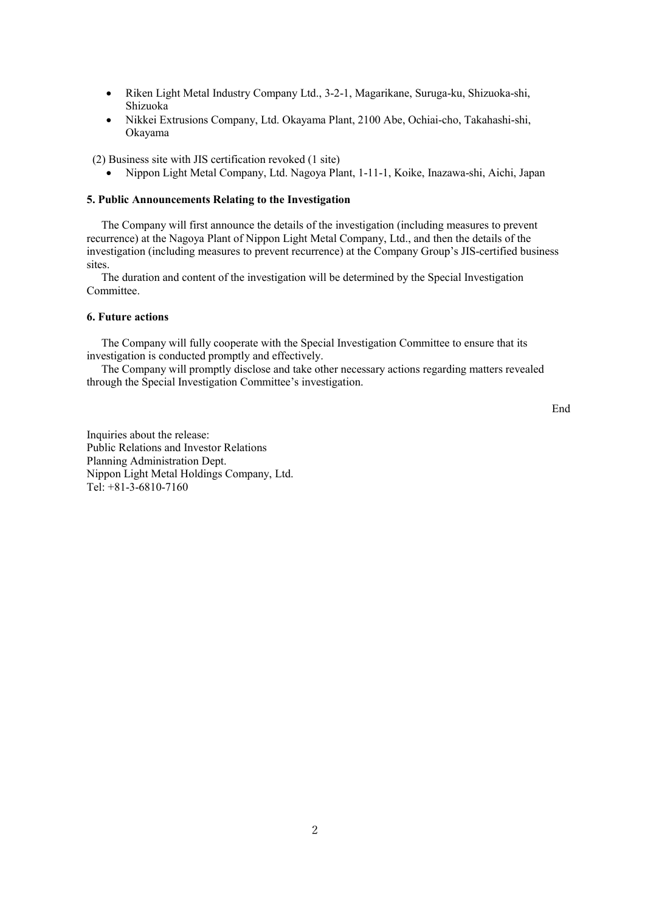- Riken Light Metal Industry Company Ltd., 3-2-1, Magarikane, Suruga-ku, Shizuoka-shi, Shizuoka
- Nikkei Extrusions Company, Ltd. Okayama Plant, 2100 Abe, Ochiai-cho, Takahashi-shi, Okayama

(2) Business site with JIS certification revoked (1 site)

• Nippon Light Metal Company, Ltd. Nagoya Plant, 1-11-1, Koike, Inazawa-shi, Aichi, Japan

### **5. Public Announcements Relating to the Investigation**

The Company will first announce the details of the investigation (including measures to prevent recurrence) at the Nagoya Plant of Nippon Light Metal Company, Ltd., and then the details of the investigation (including measures to prevent recurrence) at the Company Group's JIS-certified business sites.

The duration and content of the investigation will be determined by the Special Investigation Committee.

# **6. Future actions**

The Company will fully cooperate with the Special Investigation Committee to ensure that its investigation is conducted promptly and effectively.

The Company will promptly disclose and take other necessary actions regarding matters revealed through the Special Investigation Committee's investigation.

End

Inquiries about the release: Public Relations and Investor Relations Planning Administration Dept. Nippon Light Metal Holdings Company, Ltd. Tel: +81-3-6810-7160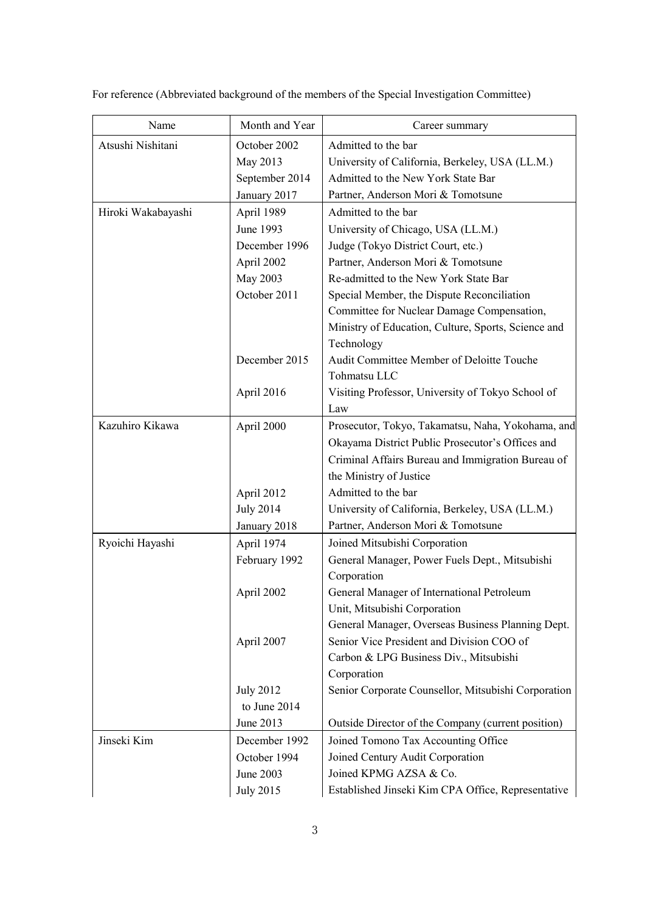| Name               | Month and Year   | Career summary                                      |
|--------------------|------------------|-----------------------------------------------------|
| Atsushi Nishitani  | October 2002     | Admitted to the bar                                 |
|                    | May 2013         | University of California, Berkeley, USA (LL.M.)     |
|                    | September 2014   | Admitted to the New York State Bar                  |
|                    | January 2017     | Partner, Anderson Mori & Tomotsune                  |
| Hiroki Wakabayashi | April 1989       | Admitted to the bar                                 |
|                    | June 1993        | University of Chicago, USA (LL.M.)                  |
|                    | December 1996    | Judge (Tokyo District Court, etc.)                  |
|                    | April 2002       | Partner, Anderson Mori & Tomotsune                  |
|                    | May 2003         | Re-admitted to the New York State Bar               |
|                    | October 2011     | Special Member, the Dispute Reconciliation          |
|                    |                  | Committee for Nuclear Damage Compensation,          |
|                    |                  | Ministry of Education, Culture, Sports, Science and |
|                    |                  | Technology                                          |
|                    | December 2015    | Audit Committee Member of Deloitte Touche           |
|                    |                  | Tohmatsu LLC                                        |
|                    | April 2016       | Visiting Professor, University of Tokyo School of   |
|                    |                  | Law                                                 |
| Kazuhiro Kikawa    | April 2000       | Prosecutor, Tokyo, Takamatsu, Naha, Yokohama, and   |
|                    |                  | Okayama District Public Prosecutor's Offices and    |
|                    |                  | Criminal Affairs Bureau and Immigration Bureau of   |
|                    |                  | the Ministry of Justice                             |
|                    | April 2012       | Admitted to the bar                                 |
|                    | <b>July 2014</b> | University of California, Berkeley, USA (LL.M.)     |
|                    | January 2018     | Partner, Anderson Mori & Tomotsune                  |
| Ryoichi Hayashi    | April 1974       | Joined Mitsubishi Corporation                       |
|                    | February 1992    | General Manager, Power Fuels Dept., Mitsubishi      |
|                    |                  | Corporation                                         |
|                    | April 2002       | General Manager of International Petroleum          |
|                    |                  | Unit, Mitsubishi Corporation                        |
|                    |                  | General Manager, Overseas Business Planning Dept.   |
|                    | April 2007       | Senior Vice President and Division COO of           |
|                    |                  | Carbon & LPG Business Div., Mitsubishi              |
|                    |                  | Corporation                                         |
|                    | <b>July 2012</b> | Senior Corporate Counsellor, Mitsubishi Corporation |
|                    | to June 2014     |                                                     |
|                    | June 2013        | Outside Director of the Company (current position)  |
| Jinseki Kim        | December 1992    | Joined Tomono Tax Accounting Office                 |
|                    | October 1994     | Joined Century Audit Corporation                    |
|                    | June 2003        | Joined KPMG AZSA & Co.                              |
|                    | <b>July 2015</b> | Established Jinseki Kim CPA Office, Representative  |

For reference (Abbreviated background of the members of the Special Investigation Committee)